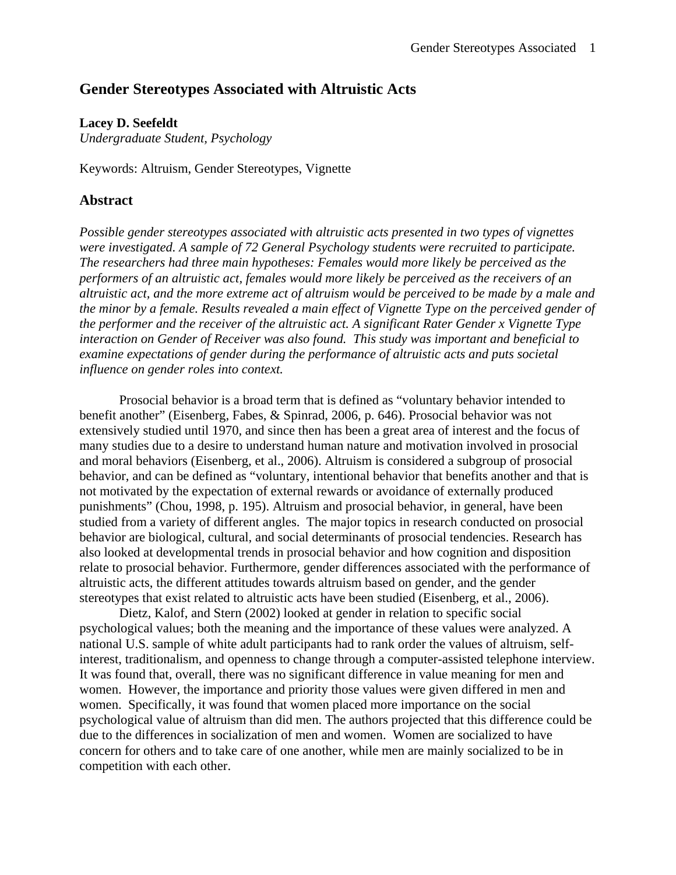# **Gender Stereotypes Associated with Altruistic Acts**

## **Lacey D. Seefeldt**

*Undergraduate Student, Psychology* 

Keywords: Altruism, Gender Stereotypes, Vignette

# **Abstract**

*Possible gender stereotypes associated with altruistic acts presented in two types of vignettes were investigated. A sample of 72 General Psychology students were recruited to participate. The researchers had three main hypotheses: Females would more likely be perceived as the performers of an altruistic act, females would more likely be perceived as the receivers of an altruistic act, and the more extreme act of altruism would be perceived to be made by a male and the minor by a female. Results revealed a main effect of Vignette Type on the perceived gender of the performer and the receiver of the altruistic act. A significant Rater Gender x Vignette Type interaction on Gender of Receiver was also found. This study was important and beneficial to examine expectations of gender during the performance of altruistic acts and puts societal influence on gender roles into context.* 

Prosocial behavior is a broad term that is defined as "voluntary behavior intended to benefit another" (Eisenberg, Fabes, & Spinrad, 2006, p. 646). Prosocial behavior was not extensively studied until 1970, and since then has been a great area of interest and the focus of many studies due to a desire to understand human nature and motivation involved in prosocial and moral behaviors (Eisenberg, et al., 2006). Altruism is considered a subgroup of prosocial behavior, and can be defined as "voluntary, intentional behavior that benefits another and that is not motivated by the expectation of external rewards or avoidance of externally produced punishments" (Chou, 1998, p. 195). Altruism and prosocial behavior, in general, have been studied from a variety of different angles. The major topics in research conducted on prosocial behavior are biological, cultural, and social determinants of prosocial tendencies. Research has also looked at developmental trends in prosocial behavior and how cognition and disposition relate to prosocial behavior. Furthermore, gender differences associated with the performance of altruistic acts, the different attitudes towards altruism based on gender, and the gender stereotypes that exist related to altruistic acts have been studied (Eisenberg, et al., 2006).

Dietz, Kalof, and Stern (2002) looked at gender in relation to specific social psychological values; both the meaning and the importance of these values were analyzed. A national U.S. sample of white adult participants had to rank order the values of altruism, selfinterest, traditionalism, and openness to change through a computer-assisted telephone interview. It was found that, overall, there was no significant difference in value meaning for men and women. However, the importance and priority those values were given differed in men and women. Specifically, it was found that women placed more importance on the social psychological value of altruism than did men. The authors projected that this difference could be due to the differences in socialization of men and women. Women are socialized to have concern for others and to take care of one another, while men are mainly socialized to be in competition with each other.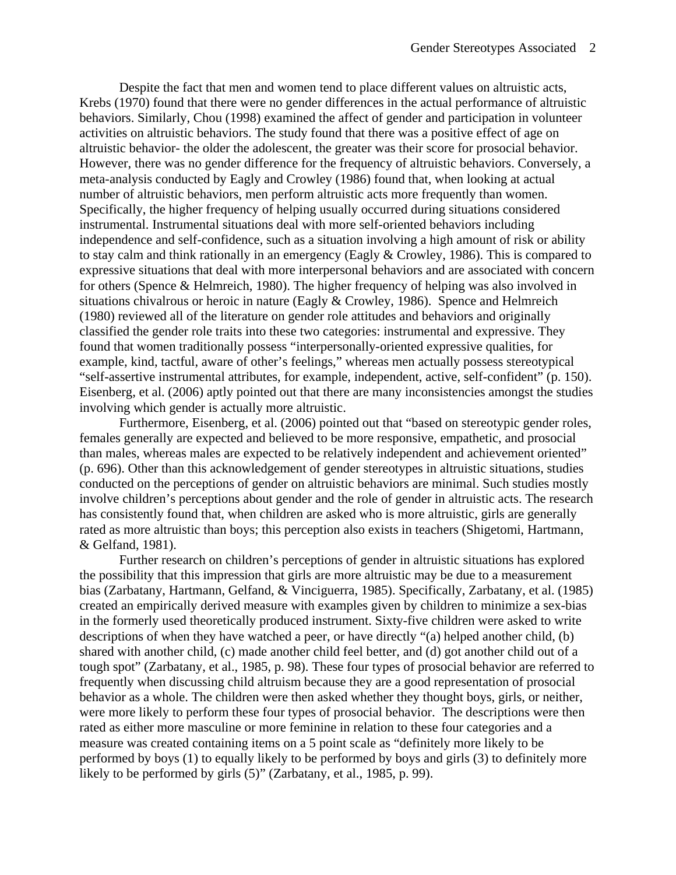Despite the fact that men and women tend to place different values on altruistic acts, Krebs (1970) found that there were no gender differences in the actual performance of altruistic behaviors. Similarly, Chou (1998) examined the affect of gender and participation in volunteer activities on altruistic behaviors. The study found that there was a positive effect of age on altruistic behavior- the older the adolescent, the greater was their score for prosocial behavior. However, there was no gender difference for the frequency of altruistic behaviors. Conversely, a meta-analysis conducted by Eagly and Crowley (1986) found that, when looking at actual number of altruistic behaviors, men perform altruistic acts more frequently than women. Specifically, the higher frequency of helping usually occurred during situations considered instrumental. Instrumental situations deal with more self-oriented behaviors including independence and self-confidence, such as a situation involving a high amount of risk or ability to stay calm and think rationally in an emergency (Eagly & Crowley, 1986). This is compared to expressive situations that deal with more interpersonal behaviors and are associated with concern for others (Spence & Helmreich, 1980). The higher frequency of helping was also involved in situations chivalrous or heroic in nature (Eagly & Crowley, 1986). Spence and Helmreich (1980) reviewed all of the literature on gender role attitudes and behaviors and originally classified the gender role traits into these two categories: instrumental and expressive. They found that women traditionally possess "interpersonally-oriented expressive qualities, for example, kind, tactful, aware of other's feelings," whereas men actually possess stereotypical "self-assertive instrumental attributes, for example, independent, active, self-confident" (p. 150). Eisenberg, et al. (2006) aptly pointed out that there are many inconsistencies amongst the studies involving which gender is actually more altruistic.

Furthermore, Eisenberg, et al. (2006) pointed out that "based on stereotypic gender roles, females generally are expected and believed to be more responsive, empathetic, and prosocial than males, whereas males are expected to be relatively independent and achievement oriented" (p. 696). Other than this acknowledgement of gender stereotypes in altruistic situations, studies conducted on the perceptions of gender on altruistic behaviors are minimal. Such studies mostly involve children's perceptions about gender and the role of gender in altruistic acts. The research has consistently found that, when children are asked who is more altruistic, girls are generally rated as more altruistic than boys; this perception also exists in teachers (Shigetomi, Hartmann, & Gelfand, 1981).

Further research on children's perceptions of gender in altruistic situations has explored the possibility that this impression that girls are more altruistic may be due to a measurement bias (Zarbatany, Hartmann, Gelfand, & Vinciguerra, 1985). Specifically, Zarbatany, et al. (1985) created an empirically derived measure with examples given by children to minimize a sex-bias in the formerly used theoretically produced instrument. Sixty-five children were asked to write descriptions of when they have watched a peer, or have directly "(a) helped another child, (b) shared with another child, (c) made another child feel better, and (d) got another child out of a tough spot" (Zarbatany, et al., 1985, p. 98). These four types of prosocial behavior are referred to frequently when discussing child altruism because they are a good representation of prosocial behavior as a whole. The children were then asked whether they thought boys, girls, or neither, were more likely to perform these four types of prosocial behavior. The descriptions were then rated as either more masculine or more feminine in relation to these four categories and a measure was created containing items on a 5 point scale as "definitely more likely to be performed by boys (1) to equally likely to be performed by boys and girls (3) to definitely more likely to be performed by girls (5)" (Zarbatany, et al., 1985, p. 99).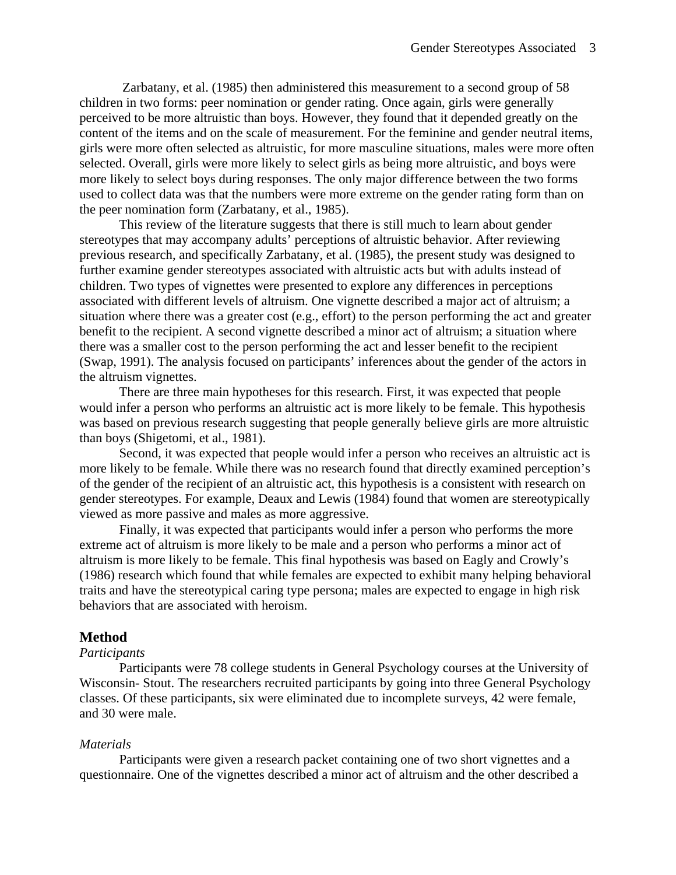Zarbatany, et al. (1985) then administered this measurement to a second group of 58 children in two forms: peer nomination or gender rating. Once again, girls were generally perceived to be more altruistic than boys. However, they found that it depended greatly on the content of the items and on the scale of measurement. For the feminine and gender neutral items, girls were more often selected as altruistic, for more masculine situations, males were more often selected. Overall, girls were more likely to select girls as being more altruistic, and boys were more likely to select boys during responses. The only major difference between the two forms used to collect data was that the numbers were more extreme on the gender rating form than on the peer nomination form (Zarbatany, et al., 1985).

 This review of the literature suggests that there is still much to learn about gender stereotypes that may accompany adults' perceptions of altruistic behavior. After reviewing previous research, and specifically Zarbatany, et al. (1985), the present study was designed to further examine gender stereotypes associated with altruistic acts but with adults instead of children. Two types of vignettes were presented to explore any differences in perceptions associated with different levels of altruism. One vignette described a major act of altruism; a situation where there was a greater cost (e.g., effort) to the person performing the act and greater benefit to the recipient. A second vignette described a minor act of altruism; a situation where there was a smaller cost to the person performing the act and lesser benefit to the recipient (Swap, 1991). The analysis focused on participants' inferences about the gender of the actors in the altruism vignettes.

There are three main hypotheses for this research. First, it was expected that people would infer a person who performs an altruistic act is more likely to be female. This hypothesis was based on previous research suggesting that people generally believe girls are more altruistic than boys (Shigetomi, et al., 1981).

Second, it was expected that people would infer a person who receives an altruistic act is more likely to be female. While there was no research found that directly examined perception's of the gender of the recipient of an altruistic act, this hypothesis is a consistent with research on gender stereotypes. For example, Deaux and Lewis (1984) found that women are stereotypically viewed as more passive and males as more aggressive.

Finally, it was expected that participants would infer a person who performs the more extreme act of altruism is more likely to be male and a person who performs a minor act of altruism is more likely to be female. This final hypothesis was based on Eagly and Crowly's (1986) research which found that while females are expected to exhibit many helping behavioral traits and have the stereotypical caring type persona; males are expected to engage in high risk behaviors that are associated with heroism.

## **Method**

#### *Participants*

Participants were 78 college students in General Psychology courses at the University of Wisconsin- Stout. The researchers recruited participants by going into three General Psychology classes. Of these participants, six were eliminated due to incomplete surveys, 42 were female, and 30 were male.

#### *Materials*

 Participants were given a research packet containing one of two short vignettes and a questionnaire. One of the vignettes described a minor act of altruism and the other described a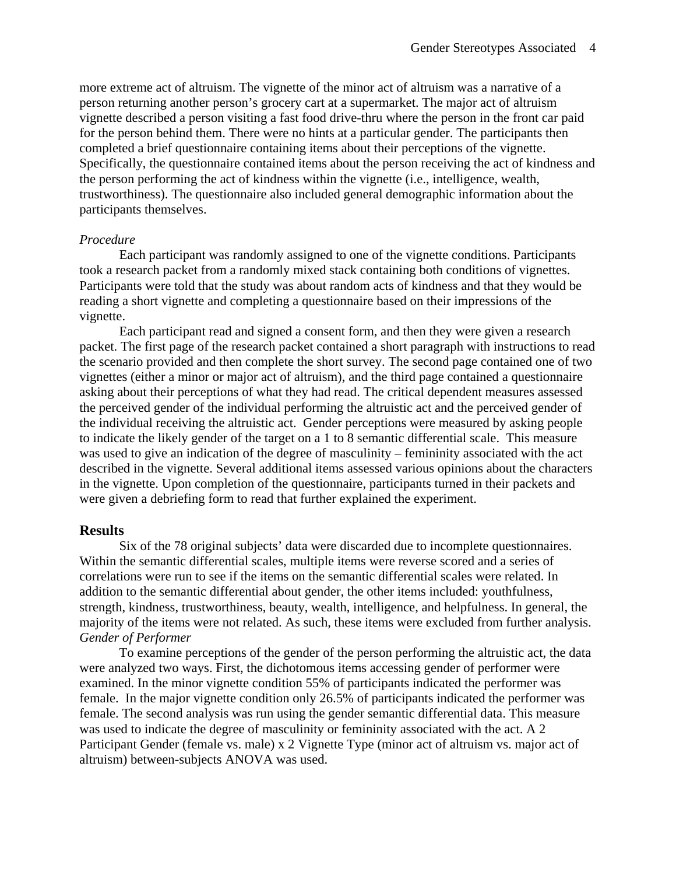more extreme act of altruism. The vignette of the minor act of altruism was a narrative of a person returning another person's grocery cart at a supermarket. The major act of altruism vignette described a person visiting a fast food drive-thru where the person in the front car paid for the person behind them. There were no hints at a particular gender. The participants then completed a brief questionnaire containing items about their perceptions of the vignette. Specifically, the questionnaire contained items about the person receiving the act of kindness and the person performing the act of kindness within the vignette (i.e., intelligence, wealth, trustworthiness). The questionnaire also included general demographic information about the participants themselves.

#### *Procedure*

Each participant was randomly assigned to one of the vignette conditions. Participants took a research packet from a randomly mixed stack containing both conditions of vignettes. Participants were told that the study was about random acts of kindness and that they would be reading a short vignette and completing a questionnaire based on their impressions of the vignette.

Each participant read and signed a consent form, and then they were given a research packet. The first page of the research packet contained a short paragraph with instructions to read the scenario provided and then complete the short survey. The second page contained one of two vignettes (either a minor or major act of altruism), and the third page contained a questionnaire asking about their perceptions of what they had read. The critical dependent measures assessed the perceived gender of the individual performing the altruistic act and the perceived gender of the individual receiving the altruistic act. Gender perceptions were measured by asking people to indicate the likely gender of the target on a 1 to 8 semantic differential scale. This measure was used to give an indication of the degree of masculinity – femininity associated with the act described in the vignette. Several additional items assessed various opinions about the characters in the vignette. Upon completion of the questionnaire, participants turned in their packets and were given a debriefing form to read that further explained the experiment.

## **Results**

Six of the 78 original subjects' data were discarded due to incomplete questionnaires. Within the semantic differential scales, multiple items were reverse scored and a series of correlations were run to see if the items on the semantic differential scales were related. In addition to the semantic differential about gender, the other items included: youthfulness, strength, kindness, trustworthiness, beauty, wealth, intelligence, and helpfulness. In general, the majority of the items were not related. As such, these items were excluded from further analysis. *Gender of Performer* 

To examine perceptions of the gender of the person performing the altruistic act, the data were analyzed two ways. First, the dichotomous items accessing gender of performer were examined. In the minor vignette condition 55% of participants indicated the performer was female. In the major vignette condition only 26.5% of participants indicated the performer was female. The second analysis was run using the gender semantic differential data. This measure was used to indicate the degree of masculinity or femininity associated with the act. A 2 Participant Gender (female vs. male) x 2 Vignette Type (minor act of altruism vs. major act of altruism) between-subjects ANOVA was used.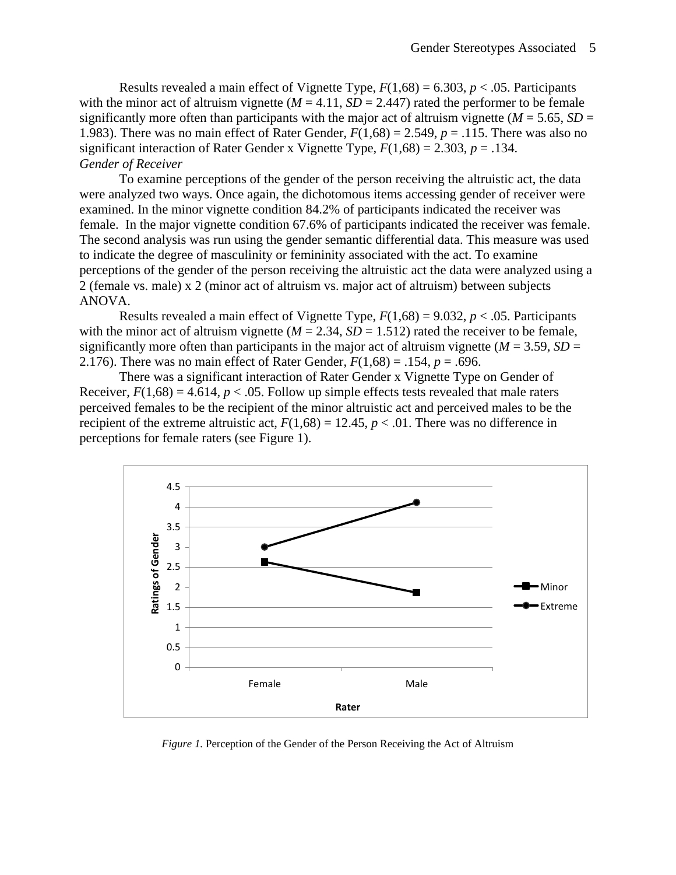Results revealed a main effect of Vignette Type,  $F(1,68) = 6.303$ ,  $p < .05$ . Participants with the minor act of altruism vignette ( $M = 4.11$ ,  $SD = 2.447$ ) rated the performer to be female significantly more often than participants with the major act of altruism vignette ( $M = 5.65$ ,  $SD =$ 1.983). There was no main effect of Rater Gender,  $F(1,68) = 2.549$ ,  $p = .115$ . There was also no significant interaction of Rater Gender x Vignette Type,  $F(1,68) = 2.303$ ,  $p = .134$ . *Gender of Receiver*

To examine perceptions of the gender of the person receiving the altruistic act, the data were analyzed two ways. Once again, the dichotomous items accessing gender of receiver were examined. In the minor vignette condition 84.2% of participants indicated the receiver was female. In the major vignette condition 67.6% of participants indicated the receiver was female. The second analysis was run using the gender semantic differential data. This measure was used to indicate the degree of masculinity or femininity associated with the act. To examine perceptions of the gender of the person receiving the altruistic act the data were analyzed using a 2 (female vs. male) x 2 (minor act of altruism vs. major act of altruism) between subjects ANOVA.

Results revealed a main effect of Vignette Type,  $F(1,68) = 9.032$ ,  $p < .05$ . Participants with the minor act of altruism vignette ( $M = 2.34$ ,  $SD = 1.512$ ) rated the receiver to be female, significantly more often than participants in the major act of altruism vignette ( $M = 3.59$ ,  $SD =$ 2.176). There was no main effect of Rater Gender,  $F(1,68) = .154$ ,  $p = .696$ .

There was a significant interaction of Rater Gender x Vignette Type on Gender of Receiver,  $F(1,68) = 4.614$ ,  $p < .05$ . Follow up simple effects tests revealed that male raters perceived females to be the recipient of the minor altruistic act and perceived males to be the recipient of the extreme altruistic act,  $F(1,68) = 12.45$ ,  $p < .01$ . There was no difference in perceptions for female raters (see Figure 1).



*Figure 1.* Perception of the Gender of the Person Receiving the Act of Altruism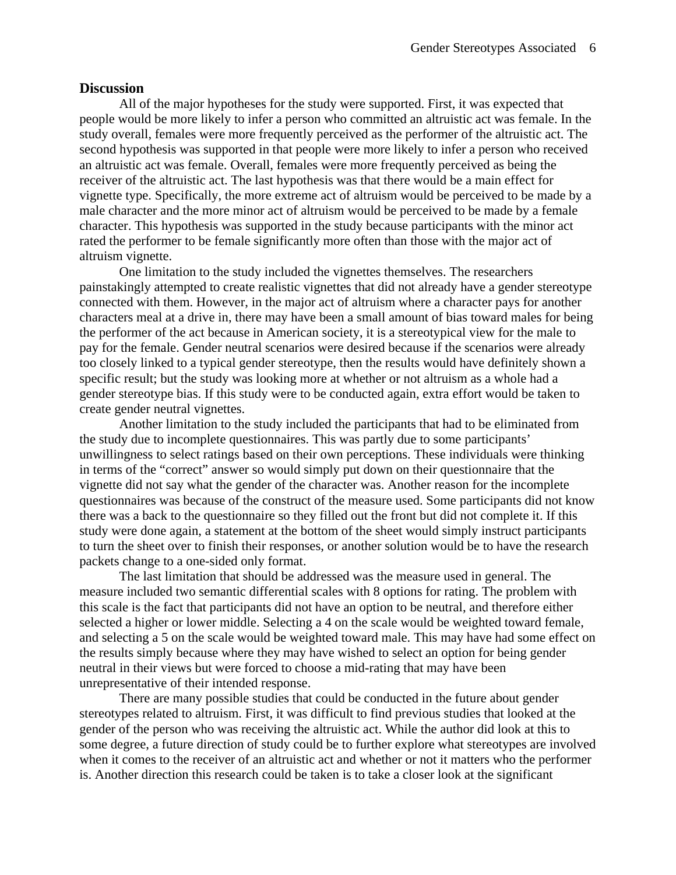### **Discussion**

All of the major hypotheses for the study were supported. First, it was expected that people would be more likely to infer a person who committed an altruistic act was female. In the study overall, females were more frequently perceived as the performer of the altruistic act. The second hypothesis was supported in that people were more likely to infer a person who received an altruistic act was female. Overall, females were more frequently perceived as being the receiver of the altruistic act. The last hypothesis was that there would be a main effect for vignette type. Specifically, the more extreme act of altruism would be perceived to be made by a male character and the more minor act of altruism would be perceived to be made by a female character. This hypothesis was supported in the study because participants with the minor act rated the performer to be female significantly more often than those with the major act of altruism vignette.

One limitation to the study included the vignettes themselves. The researchers painstakingly attempted to create realistic vignettes that did not already have a gender stereotype connected with them. However, in the major act of altruism where a character pays for another characters meal at a drive in, there may have been a small amount of bias toward males for being the performer of the act because in American society, it is a stereotypical view for the male to pay for the female. Gender neutral scenarios were desired because if the scenarios were already too closely linked to a typical gender stereotype, then the results would have definitely shown a specific result; but the study was looking more at whether or not altruism as a whole had a gender stereotype bias. If this study were to be conducted again, extra effort would be taken to create gender neutral vignettes.

Another limitation to the study included the participants that had to be eliminated from the study due to incomplete questionnaires. This was partly due to some participants' unwillingness to select ratings based on their own perceptions. These individuals were thinking in terms of the "correct" answer so would simply put down on their questionnaire that the vignette did not say what the gender of the character was. Another reason for the incomplete questionnaires was because of the construct of the measure used. Some participants did not know there was a back to the questionnaire so they filled out the front but did not complete it. If this study were done again, a statement at the bottom of the sheet would simply instruct participants to turn the sheet over to finish their responses, or another solution would be to have the research packets change to a one-sided only format.

The last limitation that should be addressed was the measure used in general. The measure included two semantic differential scales with 8 options for rating. The problem with this scale is the fact that participants did not have an option to be neutral, and therefore either selected a higher or lower middle. Selecting a 4 on the scale would be weighted toward female, and selecting a 5 on the scale would be weighted toward male. This may have had some effect on the results simply because where they may have wished to select an option for being gender neutral in their views but were forced to choose a mid-rating that may have been unrepresentative of their intended response.

There are many possible studies that could be conducted in the future about gender stereotypes related to altruism. First, it was difficult to find previous studies that looked at the gender of the person who was receiving the altruistic act. While the author did look at this to some degree, a future direction of study could be to further explore what stereotypes are involved when it comes to the receiver of an altruistic act and whether or not it matters who the performer is. Another direction this research could be taken is to take a closer look at the significant